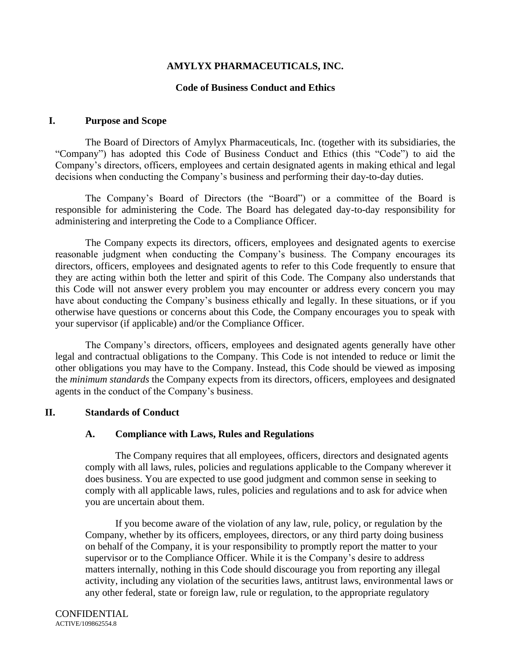# **AMYLYX PHARMACEUTICALS, INC.**

### **Code of Business Conduct and Ethics**

#### **I. Purpose and Scope**

The Board of Directors of Amylyx Pharmaceuticals, Inc. (together with its subsidiaries, the "Company") has adopted this Code of Business Conduct and Ethics (this "Code") to aid the Company's directors, officers, employees and certain designated agents in making ethical and legal decisions when conducting the Company's business and performing their day-to-day duties.

The Company's Board of Directors (the "Board") or a committee of the Board is responsible for administering the Code. The Board has delegated day-to-day responsibility for administering and interpreting the Code to a Compliance Officer.

The Company expects its directors, officers, employees and designated agents to exercise reasonable judgment when conducting the Company's business. The Company encourages its directors, officers, employees and designated agents to refer to this Code frequently to ensure that they are acting within both the letter and spirit of this Code. The Company also understands that this Code will not answer every problem you may encounter or address every concern you may have about conducting the Company's business ethically and legally. In these situations, or if you otherwise have questions or concerns about this Code, the Company encourages you to speak with your supervisor (if applicable) and/or the Compliance Officer.

The Company's directors, officers, employees and designated agents generally have other legal and contractual obligations to the Company. This Code is not intended to reduce or limit the other obligations you may have to the Company. Instead, this Code should be viewed as imposing the *minimum standards* the Company expects from its directors, officers, employees and designated agents in the conduct of the Company's business.

## **II. Standards of Conduct**

## **A. Compliance with Laws, Rules and Regulations**

The Company requires that all employees, officers, directors and designated agents comply with all laws, rules, policies and regulations applicable to the Company wherever it does business. You are expected to use good judgment and common sense in seeking to comply with all applicable laws, rules, policies and regulations and to ask for advice when you are uncertain about them.

If you become aware of the violation of any law, rule, policy, or regulation by the Company, whether by its officers, employees, directors, or any third party doing business on behalf of the Company, it is your responsibility to promptly report the matter to your supervisor or to the Compliance Officer. While it is the Company's desire to address matters internally, nothing in this Code should discourage you from reporting any illegal activity, including any violation of the securities laws, antitrust laws, environmental laws or any other federal, state or foreign law, rule or regulation, to the appropriate regulatory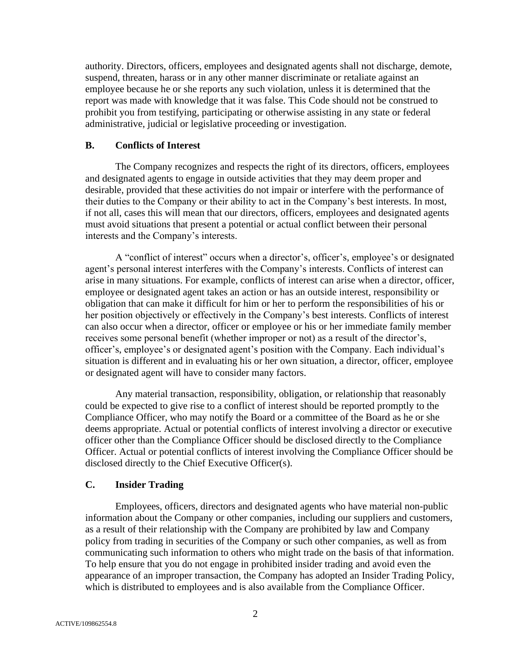authority. Directors, officers, employees and designated agents shall not discharge, demote, suspend, threaten, harass or in any other manner discriminate or retaliate against an employee because he or she reports any such violation, unless it is determined that the report was made with knowledge that it was false. This Code should not be construed to prohibit you from testifying, participating or otherwise assisting in any state or federal administrative, judicial or legislative proceeding or investigation.

#### **B. Conflicts of Interest**

The Company recognizes and respects the right of its directors, officers, employees and designated agents to engage in outside activities that they may deem proper and desirable, provided that these activities do not impair or interfere with the performance of their duties to the Company or their ability to act in the Company's best interests. In most, if not all, cases this will mean that our directors, officers, employees and designated agents must avoid situations that present a potential or actual conflict between their personal interests and the Company's interests.

A "conflict of interest" occurs when a director's, officer's, employee's or designated agent's personal interest interferes with the Company's interests. Conflicts of interest can arise in many situations. For example, conflicts of interest can arise when a director, officer, employee or designated agent takes an action or has an outside interest, responsibility or obligation that can make it difficult for him or her to perform the responsibilities of his or her position objectively or effectively in the Company's best interests. Conflicts of interest can also occur when a director, officer or employee or his or her immediate family member receives some personal benefit (whether improper or not) as a result of the director's, officer's, employee's or designated agent's position with the Company. Each individual's situation is different and in evaluating his or her own situation, a director, officer, employee or designated agent will have to consider many factors.

Any material transaction, responsibility, obligation, or relationship that reasonably could be expected to give rise to a conflict of interest should be reported promptly to the Compliance Officer, who may notify the Board or a committee of the Board as he or she deems appropriate. Actual or potential conflicts of interest involving a director or executive officer other than the Compliance Officer should be disclosed directly to the Compliance Officer. Actual or potential conflicts of interest involving the Compliance Officer should be disclosed directly to the Chief Executive Officer(s).

## **C. Insider Trading**

Employees, officers, directors and designated agents who have material non-public information about the Company or other companies, including our suppliers and customers, as a result of their relationship with the Company are prohibited by law and Company policy from trading in securities of the Company or such other companies, as well as from communicating such information to others who might trade on the basis of that information. To help ensure that you do not engage in prohibited insider trading and avoid even the appearance of an improper transaction, the Company has adopted an Insider Trading Policy, which is distributed to employees and is also available from the Compliance Officer.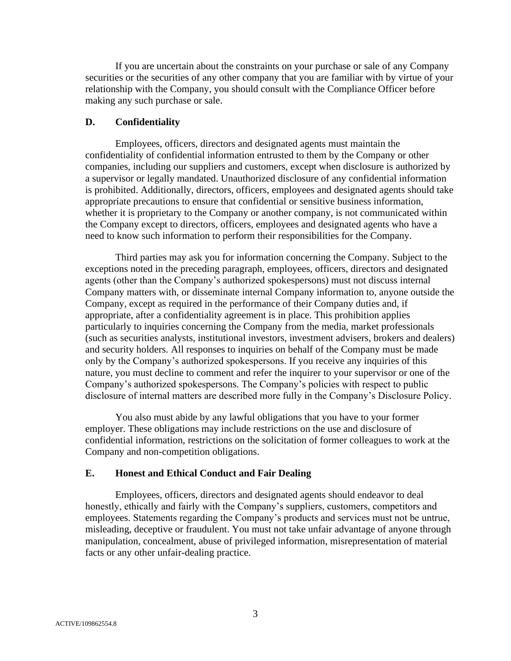If you are uncertain about the constraints on your purchase or sale of any Company securities or the securities of any other company that you are familiar with by virtue of your relationship with the Company, you should consult with the Compliance Officer before making any such purchase or sale.

#### **D. Confidentiality**

Employees, officers, directors and designated agents must maintain the confidentiality of confidential information entrusted to them by the Company or other companies, including our suppliers and customers, except when disclosure is authorized by a supervisor or legally mandated. Unauthorized disclosure of any confidential information is prohibited. Additionally, directors, officers, employees and designated agents should take appropriate precautions to ensure that confidential or sensitive business information, whether it is proprietary to the Company or another company, is not communicated within the Company except to directors, officers, employees and designated agents who have a need to know such information to perform their responsibilities for the Company.

Third parties may ask you for information concerning the Company. Subject to the exceptions noted in the preceding paragraph, employees, officers, directors and designated agents (other than the Company's authorized spokespersons) must not discuss internal Company matters with, or disseminate internal Company information to, anyone outside the Company, except as required in the performance of their Company duties and, if appropriate, after a confidentiality agreement is in place. This prohibition applies particularly to inquiries concerning the Company from the media, market professionals (such as securities analysts, institutional investors, investment advisers, brokers and dealers) and security holders. All responses to inquiries on behalf of the Company must be made only by the Company's authorized spokespersons. If you receive any inquiries of this nature, you must decline to comment and refer the inquirer to your supervisor or one of the Company's authorized spokespersons. The Company's policies with respect to public disclosure of internal matters are described more fully in the Company's Disclosure Policy.

You also must abide by any lawful obligations that you have to your former employer. These obligations may include restrictions on the use and disclosure of confidential information, restrictions on the solicitation of former colleagues to work at the Company and non-competition obligations.

#### **E. Honest and Ethical Conduct and Fair Dealing**

Employees, officers, directors and designated agents should endeavor to deal honestly, ethically and fairly with the Company's suppliers, customers, competitors and employees. Statements regarding the Company's products and services must not be untrue, misleading, deceptive or fraudulent. You must not take unfair advantage of anyone through manipulation, concealment, abuse of privileged information, misrepresentation of material facts or any other unfair-dealing practice.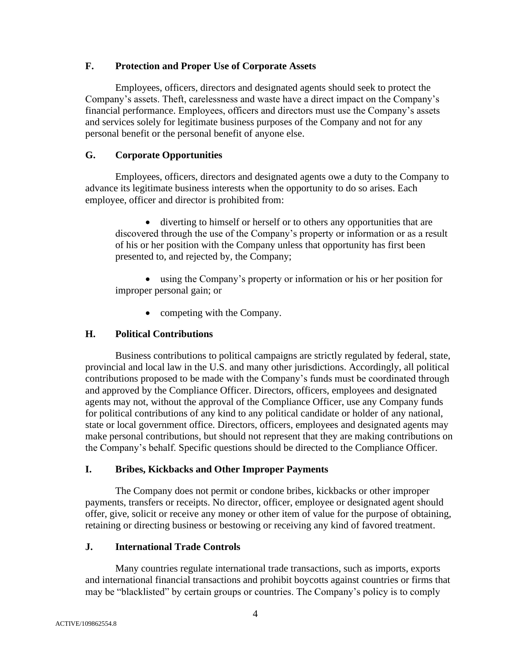## **F. Protection and Proper Use of Corporate Assets**

Employees, officers, directors and designated agents should seek to protect the Company's assets. Theft, carelessness and waste have a direct impact on the Company's financial performance. Employees, officers and directors must use the Company's assets and services solely for legitimate business purposes of the Company and not for any personal benefit or the personal benefit of anyone else.

# **G. Corporate Opportunities**

Employees, officers, directors and designated agents owe a duty to the Company to advance its legitimate business interests when the opportunity to do so arises. Each employee, officer and director is prohibited from:

• diverting to himself or herself or to others any opportunities that are discovered through the use of the Company's property or information or as a result of his or her position with the Company unless that opportunity has first been presented to, and rejected by, the Company;

• using the Company's property or information or his or her position for improper personal gain; or

• competing with the Company.

# **H. Political Contributions**

Business contributions to political campaigns are strictly regulated by federal, state, provincial and local law in the U.S. and many other jurisdictions. Accordingly, all political contributions proposed to be made with the Company's funds must be coordinated through and approved by the Compliance Officer. Directors, officers, employees and designated agents may not, without the approval of the Compliance Officer, use any Company funds for political contributions of any kind to any political candidate or holder of any national, state or local government office. Directors, officers, employees and designated agents may make personal contributions, but should not represent that they are making contributions on the Company's behalf. Specific questions should be directed to the Compliance Officer.

## **I. Bribes, Kickbacks and Other Improper Payments**

The Company does not permit or condone bribes, kickbacks or other improper payments, transfers or receipts. No director, officer, employee or designated agent should offer, give, solicit or receive any money or other item of value for the purpose of obtaining, retaining or directing business or bestowing or receiving any kind of favored treatment.

## **J. International Trade Controls**

Many countries regulate international trade transactions, such as imports, exports and international financial transactions and prohibit boycotts against countries or firms that may be "blacklisted" by certain groups or countries. The Company's policy is to comply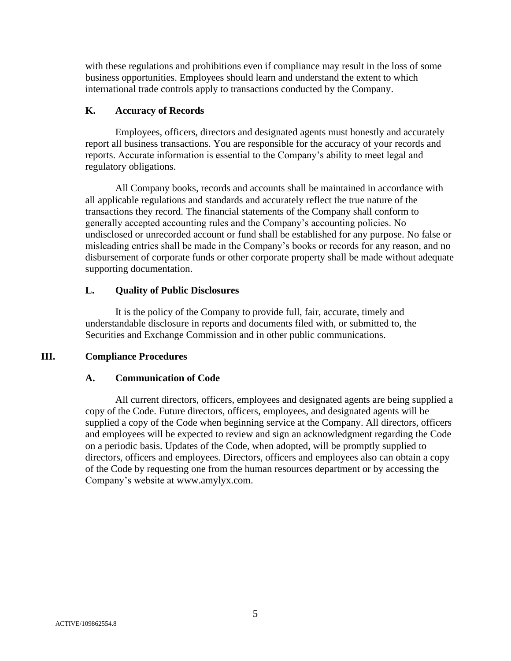with these regulations and prohibitions even if compliance may result in the loss of some business opportunities. Employees should learn and understand the extent to which international trade controls apply to transactions conducted by the Company.

## **K. Accuracy of Records**

Employees, officers, directors and designated agents must honestly and accurately report all business transactions. You are responsible for the accuracy of your records and reports. Accurate information is essential to the Company's ability to meet legal and regulatory obligations.

All Company books, records and accounts shall be maintained in accordance with all applicable regulations and standards and accurately reflect the true nature of the transactions they record. The financial statements of the Company shall conform to generally accepted accounting rules and the Company's accounting policies. No undisclosed or unrecorded account or fund shall be established for any purpose. No false or misleading entries shall be made in the Company's books or records for any reason, and no disbursement of corporate funds or other corporate property shall be made without adequate supporting documentation.

# **L. Quality of Public Disclosures**

It is the policy of the Company to provide full, fair, accurate, timely and understandable disclosure in reports and documents filed with, or submitted to, the Securities and Exchange Commission and in other public communications.

## **III. Compliance Procedures**

## **A. Communication of Code**

All current directors, officers, employees and designated agents are being supplied a copy of the Code. Future directors, officers, employees, and designated agents will be supplied a copy of the Code when beginning service at the Company. All directors, officers and employees will be expected to review and sign an acknowledgment regarding the Code on a periodic basis. Updates of the Code, when adopted, will be promptly supplied to directors, officers and employees. Directors, officers and employees also can obtain a copy of the Code by requesting one from the human resources department or by accessing the Company's website at www.amylyx.com.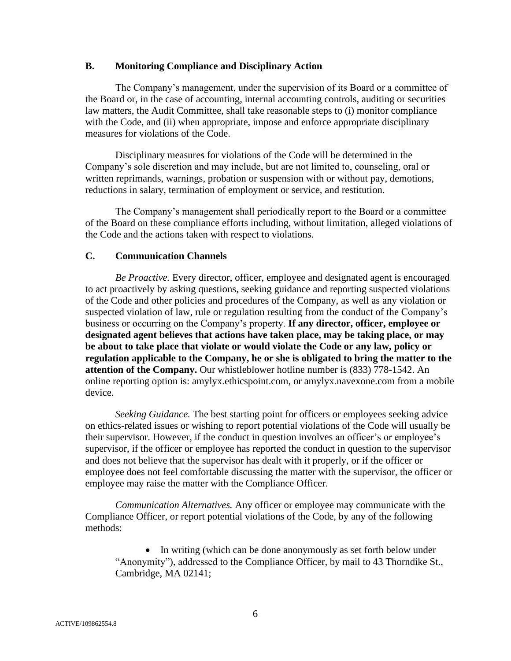#### **B. Monitoring Compliance and Disciplinary Action**

The Company's management, under the supervision of its Board or a committee of the Board or, in the case of accounting, internal accounting controls, auditing or securities law matters, the Audit Committee, shall take reasonable steps to (i) monitor compliance with the Code, and (ii) when appropriate, impose and enforce appropriate disciplinary measures for violations of the Code.

Disciplinary measures for violations of the Code will be determined in the Company's sole discretion and may include, but are not limited to, counseling, oral or written reprimands, warnings, probation or suspension with or without pay, demotions, reductions in salary, termination of employment or service, and restitution.

The Company's management shall periodically report to the Board or a committee of the Board on these compliance efforts including, without limitation, alleged violations of the Code and the actions taken with respect to violations.

#### **C. Communication Channels**

*Be Proactive.* Every director, officer, employee and designated agent is encouraged to act proactively by asking questions, seeking guidance and reporting suspected violations of the Code and other policies and procedures of the Company, as well as any violation or suspected violation of law, rule or regulation resulting from the conduct of the Company's business or occurring on the Company's property. **If any director, officer, employee or designated agent believes that actions have taken place, may be taking place, or may be about to take place that violate or would violate the Code or any law, policy or regulation applicable to the Company, he or she is obligated to bring the matter to the attention of the Company.** Our whistleblower hotline number is (833) 778-1542. An online reporting option is: amylyx.ethicspoint.com, or amylyx.navexone.com from a mobile device.

*Seeking Guidance.* The best starting point for officers or employees seeking advice on ethics-related issues or wishing to report potential violations of the Code will usually be their supervisor. However, if the conduct in question involves an officer's or employee's supervisor, if the officer or employee has reported the conduct in question to the supervisor and does not believe that the supervisor has dealt with it properly, or if the officer or employee does not feel comfortable discussing the matter with the supervisor, the officer or employee may raise the matter with the Compliance Officer.

*Communication Alternatives.* Any officer or employee may communicate with the Compliance Officer, or report potential violations of the Code, by any of the following methods:

• In writing (which can be done anonymously as set forth below under "Anonymity"), addressed to the Compliance Officer, by mail to 43 Thorndike St., Cambridge, MA 02141;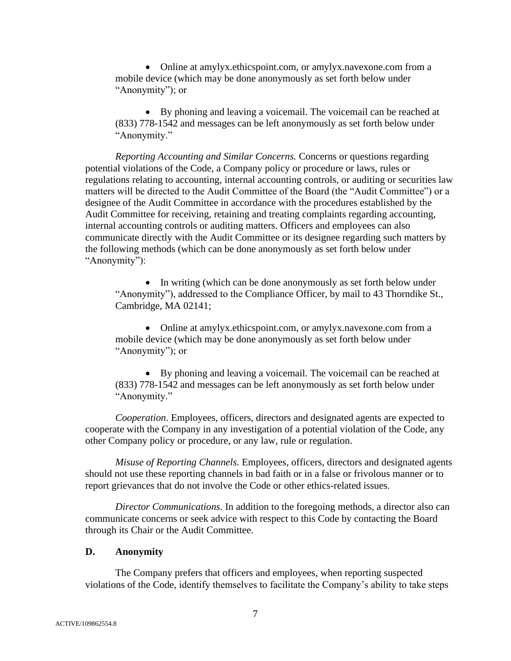• Online at amylyx.ethicspoint.com, or amylyx.navexone.com from a mobile device (which may be done anonymously as set forth below under "Anonymity"); or

• By phoning and leaving a voicemail. The voicemail can be reached at (833) 778-1542 and messages can be left anonymously as set forth below under "Anonymity."

*Reporting Accounting and Similar Concerns.* Concerns or questions regarding potential violations of the Code, a Company policy or procedure or laws, rules or regulations relating to accounting, internal accounting controls, or auditing or securities law matters will be directed to the Audit Committee of the Board (the "Audit Committee") or a designee of the Audit Committee in accordance with the procedures established by the Audit Committee for receiving, retaining and treating complaints regarding accounting, internal accounting controls or auditing matters. Officers and employees can also communicate directly with the Audit Committee or its designee regarding such matters by the following methods (which can be done anonymously as set forth below under "Anonymity"):

• In writing (which can be done anonymously as set forth below under "Anonymity"), addressed to the Compliance Officer, by mail to 43 Thorndike St., Cambridge, MA 02141;

• Online at amylyx.ethicspoint.com, or amylyx.navexone.com from a mobile device (which may be done anonymously as set forth below under "Anonymity"); or

• By phoning and leaving a voicemail. The voicemail can be reached at (833) 778-1542 and messages can be left anonymously as set forth below under "Anonymity."

*Cooperation*. Employees, officers, directors and designated agents are expected to cooperate with the Company in any investigation of a potential violation of the Code, any other Company policy or procedure, or any law, rule or regulation.

*Misuse of Reporting Channels.* Employees, officers, directors and designated agents should not use these reporting channels in bad faith or in a false or frivolous manner or to report grievances that do not involve the Code or other ethics-related issues.

*Director Communications.* In addition to the foregoing methods, a director also can communicate concerns or seek advice with respect to this Code by contacting the Board through its Chair or the Audit Committee.

## **D. Anonymity**

The Company prefers that officers and employees, when reporting suspected violations of the Code, identify themselves to facilitate the Company's ability to take steps